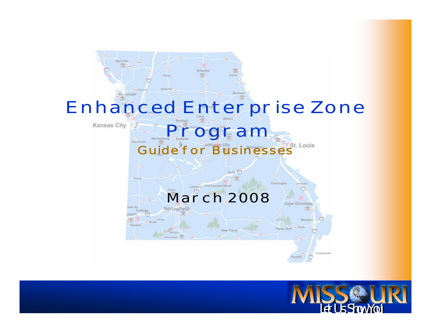

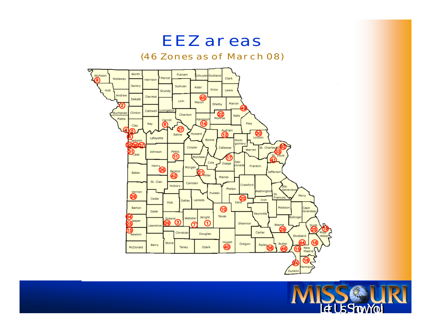

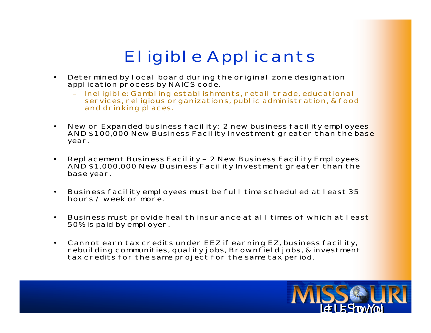### **Eligible Applicants**

- **• Determined by local board during the original zone designation application process by NAICS code.**
	- **– Ineligible: Gambling establishments, retail trade, educational services, religious organizations, public administration, & food and drinking places.**
- **•New or Expanded business facility: 2 new business facility employees AND \$100,000 New Business Facility Investment greater than the base year.**
- **• Replacement Business Facility – 2 New Business Facility Employees AND \$1,000,000 New Business Facility Investment greater than the base year.**
- **• Business facility employees must be full time scheduled at least 35 hours / week or more.**
- **• Business must provide health insurance at all times of which at least 50% is paid by employer.**
- **• Cannot earn tax credits under EEZ if earning EZ, business facility, rebuilding communities, quality jobs, Brownfield jobs, & investment tax credits for the same project for the same tax period.**

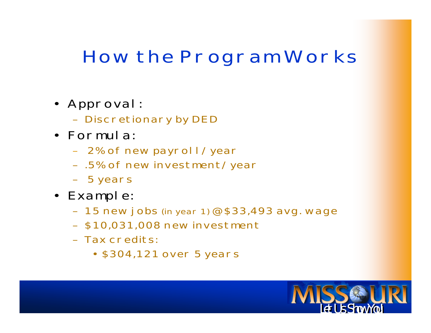## **How the Program Works**

- **• Approval:** 
	- **Discretionary by DED**
- **• Formula:**
	- **2% of new payroll/year**
	- **– .5% of new investment/year**
	- **– 5 years**
- **• Example:**
	- **15 new jobs (in year 1) @ \$33,493 avg. wage**
	- **– \$10,031,008 new investment**
	- **– Tax credits:** 
		- **• \$304,121 over 5 years**

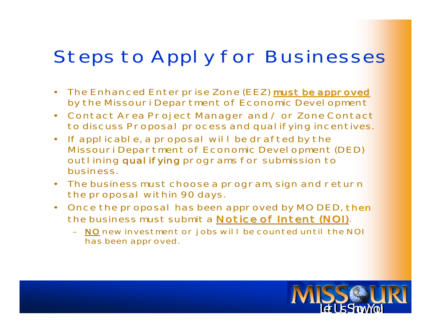## **Steps to Apply for Businesses**

- **• The Enhanced Enterprise Zone (EEZ) must be approved must be approved by the Missouri Department of Economic Development**
- **• Contact Area Project Manager and / or Zone Contact to discuss Proposal process and qualifying incentives.**
- **• If applicable, a proposal will be drafted by the Missouri Department of Economic Development (DED) outlining qualifying programs for submission to business.**
- **• The business must choose a program, sign and return the proposal within 90 days.**
- **• Once the proposal has been approved by MO DED, then the business must submit a Notice of Intent (NOI) Notice of Intent (NOI).**
	- **– NO new investment or jobs will be counted until the NOI has been approved.**

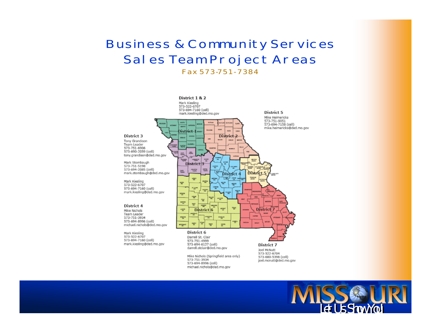#### **Business & Community Services** Sales Team Project Areas Fax 573-751-7384



573-751-4999 573-694-6127 (cell) darrell.stclair@ded.mo.gov

mark.kiesling@ded.mo.gov

Mike Nichols (Springfield area only) 573-751-3934 573-694-8996 (cell) michael.nichols@ded.mo.gov

District 7 Joel McNutt 573-522-6704 573-680-5398 (cell) joel.mcnutt@ded.mo.gov

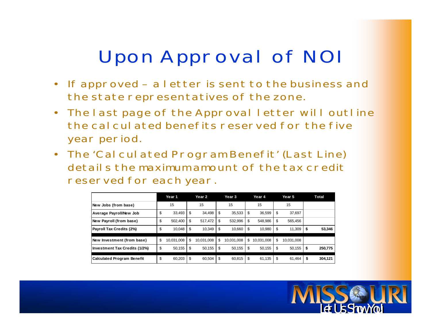## **Upon Approval of NOI**

- **• If approved – a letter is sent to the business and the state representatives of the zone.**
- **• The last page of the Approval letter will outline the calculated benefits reserved for the five year period.**
- **• The 'Calculated Program Benefit' (Last Line) details the maximum amount of the tax credit reserved for each year.**

|                                      | Year 1           | Year 2           |    | Year 3     | Year 4           |    | Year 5     |    | Total   |
|--------------------------------------|------------------|------------------|----|------------|------------------|----|------------|----|---------|
| New Jobs (from base)                 | 15               | 15               |    | 15         | 15               |    | 15         |    |         |
| Average Payroll/New Job              | \$<br>33.493     | \$<br>34,498     | S  | 35.533     | \$<br>36,599     | S  | 37,697     |    |         |
| New Payroll (from base)              | \$<br>502.400    | \$<br>517,472    | \$ | 532,996    | \$<br>548,986    | \$ | 565,456    |    |         |
| Payroll Tax Credits (2%)             | \$<br>10,048     | \$<br>10,349     | S  | 10,660     | \$<br>10,980     | \$ | 11,309     | S  | 53,346  |
| New Investment (from base)           | \$<br>10,031,008 | \$<br>10.031.008 | \$ | 10.031.008 | \$<br>10.031.008 | S  | 10,031,008 |    |         |
| <b>Investment Tax Credits (1/2%)</b> | \$<br>50,155     | \$<br>50,155     | \$ | 50.155     | \$<br>50,155     | \$ | 50,155     | S  | 250,775 |
| <b>Calculated Program Benefit</b>    | \$<br>60.203     | \$<br>60,504     | \$ | 60.815     | \$<br>61,135     | \$ | 61.464     | \$ | 304.121 |

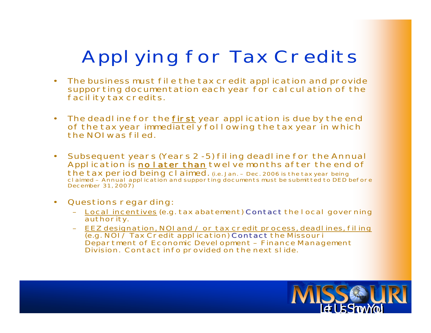# **Applying for Tax Credits**

- **• The business must file the tax credit application and provide supporting documentation each year for calculation of the facility tax credits.**
- **• The deadline for the first year application is due by the end**  of the tax year immediately following the tax year in which **the NOI was filed.**
- **• Subsequent years (Years 2 - 5) filing deadline for the Annual Application is no later than twelve months after the end of the tax period being claimed.** (i.e. Jan. – Dec. 2006 is the tax year being claimed – Annual application and supporting documents must be submitted to DED before December 31, 2007)
- **• Questions regarding:**
	- **– Local incentives (e.g. tax abatement) Contact Contactthe local governing authority.**
	- **– EEZ designation, NOI and / or tax credit process, deadlines, filing (e.g. NOI / Tax Credit application) Contact Contact the Missouri Department of Economic Development – Finance Management Division. Contact info provided on the next slide.**